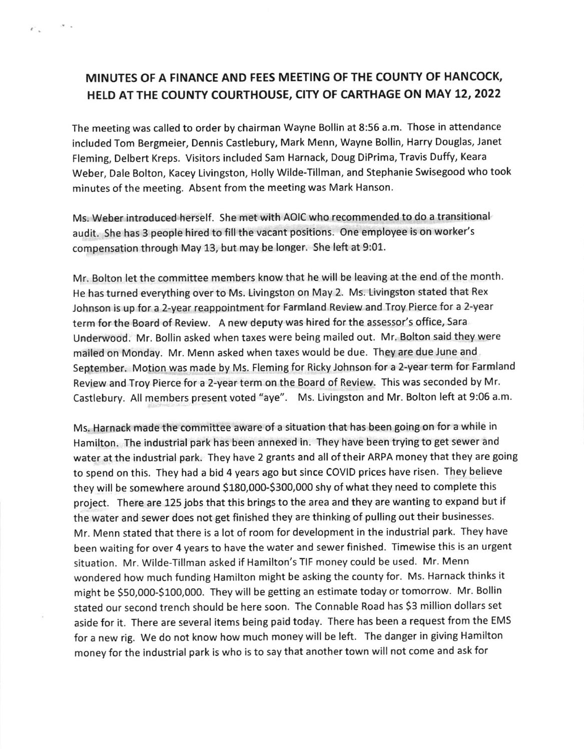## MINUTES OF A FINANCE AND FEES MEETING OF THE COUNTY OF HANCOCK, HELD AT THE COUNTY COURTHOUSE, CITY OF CARTHAGE ON MAY 12, 2022

 $\mathbf{v}$ 

 $\epsilon^-$  .

The meeting was called to order by chairman Wayne Bollin at 8:56 a.m. Those in attendance included Tom Bergmeier, Dennis Castlebury, Mark Menn, Wayne Bollin, Harry Douglas, Janet Fleming, Delbert Kreps. Visitors included Sam Harnack, Doug DiPrima, Travis Duffy, Keara Weber, Dale Bolton, Kacey Livingston, Holly Wilde-Tillman, and Stephanie Swisegood who took minutes of the meeting. Absent from the meeting was Mark Hanson.

Ms. Weber introduced herself. She met with AOIC who recommended to do a transitional audit. She has 3 people hired to fill the vacant positions. One employee is on worker's compensation through May 13, but may be longer. she left at 9:01.

Mr. Bolton let the committee members know that he will be leaving at the end of the month. He has turned everything over to Ms. Livingston on May 2. Ms. Livingston stated that Rex Johnson is up for a 2-year reappointment for Farmland Review and Troy Pierce for a 2-year term for the Board of Review. A new deputy was hired for the assessor's office, Sara Underwood. Mr. Bollin asked when taxes were being mailed out. Mr. Bolton said they were mailed on Monday. Mr. Menn asked when taxes would be due. They are due June and September. Motion was made by Ms. Fleming for Ricky Johnson for a 2-year term for Farmland Review and Troy Pierce for a 2-year term on the Board of Review. This was seconded by Mr. Castlebury. All members present voted "aye". Ms. Livingston and Mr. Bolton left at 9:06 a.m.

Ms. Harnack made the committee aware of a situation that has been going on for a while in Hamilton. The industrial park has been annexed in. They have been trying to get sewer and water at the industrial park. They have 2 grants and all of their ARPA money that they are going to spend on this. They had a bid 4 years ago but since COVID prices have risen. They believe they will be somewhere around \$180,000-\$300,000 shy of what they need to complete this project. There are 125 jobs that this brings to the area and they are wanting to expand but if the water and sewer does not get finished they are thinking of pulling out their businesses. Mr. Menn stated that there is a lot of room for development in the industrial park. They have been waiting for over 4 years to have the water and sewer finished. Timewise this is an urgent situation. Mr. Wilde-Tillman asked if Hamilton's TIF money could be used. Mr. Menn wondered how much funding Hamilton might be asking the county for. Ms. Harnack thinks it might be S5O,OOO-S100,000. They will be getting an estimate today or tomorrow. Mr. Bollin stated our second trench should be here soon. The Connable Road has 53 million dollars set aside for it. There are several items being paid today. There has been a request from the EMS for a new rig. we do not know how much money will be left. The danger in giving Hamilton money for the industrial park is who is to say that another town will not come and ask for